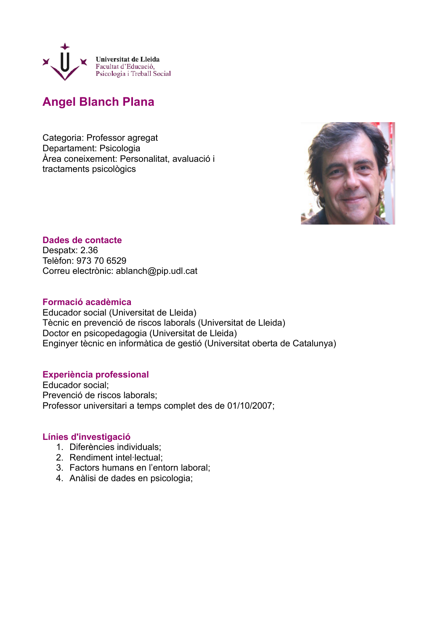

# **Angel Blanch Plana**

Categoria: Professor agregat Departament: Psicologia Àrea coneixement: Personalitat, avaluació i tractaments psicològics



## **Dades de contacte** Despatx: 2.36 Telèfon: 973 70 6529 Correu electrònic: ablanch@pip.udl.cat

## **Formació acadèmica**

Educador social (Universitat de Lleida) Tècnic en prevenció de riscos laborals (Universitat de Lleida) Doctor en psicopedagogia (Universitat de Lleida) Enginyer tècnic en informàtica de gestió (Universitat oberta de Catalunya)

## **Experiència professional**

Educador social; Prevenció de riscos laborals; Professor universitari a temps complet des de 01/10/2007;

## **Línies d'investigació**

- 1. Diferències individuals;
- 2. Rendiment intel·lectual;
- 3. Factors humans en l'entorn laboral;
- 4. Anàlisi de dades en psicologia;